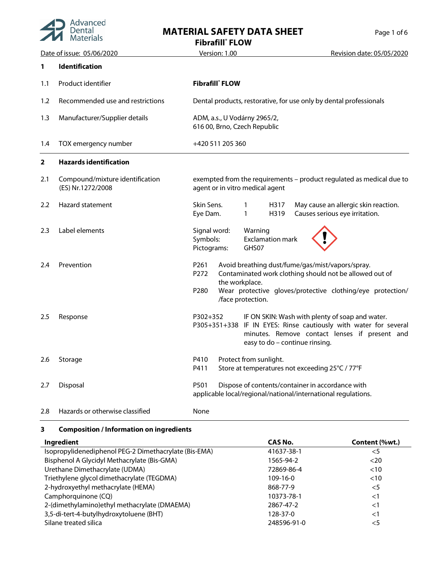

## **MATERIAL SAFETY DATA SHEET**

| Page 1 of 6 |  |  |
|-------------|--|--|
|             |  |  |

**Fibrafill® FLOW**

|     | Date of issue: 05/06/2020                            | Version: 1.00<br>Revision date: 05/05/2020                                                                                                                                                                                                           |
|-----|------------------------------------------------------|------------------------------------------------------------------------------------------------------------------------------------------------------------------------------------------------------------------------------------------------------|
| 1   | <b>Identification</b>                                |                                                                                                                                                                                                                                                      |
| 1.1 | Product identifier                                   | <b>Fibrafill</b> FLOW                                                                                                                                                                                                                                |
| 1.2 | Recommended use and restrictions                     | Dental products, restorative, for use only by dental professionals                                                                                                                                                                                   |
| 1.3 | Manufacturer/Supplier details                        | ADM, a.s., U Vodárny 2965/2,<br>616 00, Brno, Czech Republic                                                                                                                                                                                         |
| 1.4 | TOX emergency number                                 | +420 511 205 360                                                                                                                                                                                                                                     |
| 2   | <b>Hazards identification</b>                        |                                                                                                                                                                                                                                                      |
| 2.1 | Compound/mixture identification<br>(ES) Nr.1272/2008 | exempted from the requirements - product regulated as medical due to<br>agent or in vitro medical agent                                                                                                                                              |
| 2.2 | Hazard statement                                     | Skin Sens.<br>May cause an allergic skin reaction.<br>1<br>H317<br>Causes serious eye irritation.<br>Eye Dam.<br>H319<br>1                                                                                                                           |
| 2.3 | Label elements                                       | Signal word:<br>Warning<br>Symbols:<br><b>Exclamation mark</b><br>Pictograms:<br>GHS07                                                                                                                                                               |
| 2.4 | Prevention                                           | Avoid breathing dust/fume/gas/mist/vapors/spray.<br>P261<br>Contaminated work clothing should not be allowed out of<br>P272<br>the workplace.<br>P <sub>280</sub><br>Wear protective gloves/protective clothing/eye protection/<br>/face protection. |
| 2.5 | Response                                             | P302+352<br>IF ON SKIN: Wash with plenty of soap and water.<br>P305+351+338 IF IN EYES: Rinse cautiously with water for several<br>minutes. Remove contact lenses if present and<br>easy to do - continue rinsing.                                   |
| 2.6 | Storage                                              | Protect from sunlight.<br>P410<br>P411<br>Store at temperatures not exceeding 25°C / 77°F                                                                                                                                                            |
| 2.7 | Disposal                                             | P501<br>Dispose of contents/container in accordance with<br>applicable local/regional/national/international regulations.                                                                                                                            |
| 2.8 | Hazards or otherwise classified                      | None                                                                                                                                                                                                                                                 |

## **3 Composition / Information on ingredients**

| Ingredient                                            | CAS No.     | Content (%wt.) |
|-------------------------------------------------------|-------------|----------------|
| Isopropylidenediphenol PEG-2 Dimethacrylate (Bis-EMA) | 41637-38-1  | $<$ 5          |
| Bisphenol A Glycidyl Methacrylate (Bis-GMA)           | 1565-94-2   | <20            |
| Urethane Dimethacrylate (UDMA)                        | 72869-86-4  | < 10           |
| Triethylene glycol dimethacrylate (TEGDMA)            | $109-16-0$  | <10            |
| 2-hydroxyethyl methacrylate (HEMA)                    | 868-77-9    | $<$ 5          |
| Camphorquinone (CQ)                                   | 10373-78-1  | $<$ 1          |
| 2-(dimethylamino)ethyl methacrylate (DMAEMA)          | 2867-47-2   | $<$ 1          |
| 3,5-di-tert-4-butylhydroxytoluene (BHT)               | 128-37-0    | $<$ 1          |
| Silane treated silica                                 | 248596-91-0 | $<$ 5          |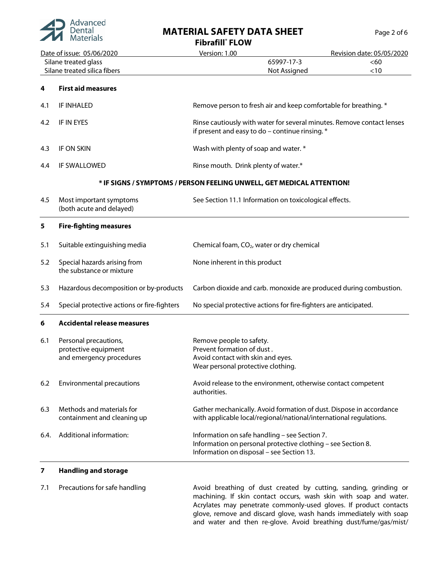

# **MATERIAL SAFETY DATA SHEET** Page 2 of 6

**Fibrafill® FLOW**

|      |                                                                           | Fibratill FLOW                                                                                                                                             |                           |  |  |
|------|---------------------------------------------------------------------------|------------------------------------------------------------------------------------------------------------------------------------------------------------|---------------------------|--|--|
|      | Date of issue: 05/06/2020                                                 | Version: 1.00                                                                                                                                              | Revision date: 05/05/2020 |  |  |
|      | Silane treated glass                                                      | 65997-17-3                                                                                                                                                 | <60                       |  |  |
|      | Silane treated silica fibers                                              | < 10<br>Not Assigned                                                                                                                                       |                           |  |  |
| 4    | <b>First aid measures</b>                                                 |                                                                                                                                                            |                           |  |  |
| 4.1  | <b>IF INHALED</b>                                                         | Remove person to fresh air and keep comfortable for breathing. *                                                                                           |                           |  |  |
| 4.2  | <b>IF IN EYES</b>                                                         | Rinse cautiously with water for several minutes. Remove contact lenses<br>if present and easy to do - continue rinsing. *                                  |                           |  |  |
| 4.3  | IF ON SKIN                                                                | Wash with plenty of soap and water. *                                                                                                                      |                           |  |  |
| 4.4  | IF SWALLOWED                                                              | Rinse mouth. Drink plenty of water.*                                                                                                                       |                           |  |  |
|      |                                                                           | * IF SIGNS / SYMPTOMS / PERSON FEELING UNWELL, GET MEDICAL ATTENTION!                                                                                      |                           |  |  |
| 4.5  | Most important symptoms<br>(both acute and delayed)                       | See Section 11.1 Information on toxicological effects.                                                                                                     |                           |  |  |
| 5    | <b>Fire-fighting measures</b>                                             |                                                                                                                                                            |                           |  |  |
| 5.1  | Suitable extinguishing media                                              | Chemical foam, CO <sub>2</sub> , water or dry chemical                                                                                                     |                           |  |  |
| 5.2  | Special hazards arising from<br>the substance or mixture                  | None inherent in this product                                                                                                                              |                           |  |  |
| 5.3  | Hazardous decomposition or by-products                                    | Carbon dioxide and carb. monoxide are produced during combustion.                                                                                          |                           |  |  |
| 5.4  | Special protective actions or fire-fighters                               | No special protective actions for fire-fighters are anticipated.                                                                                           |                           |  |  |
| 6    | <b>Accidental release measures</b>                                        |                                                                                                                                                            |                           |  |  |
| 6.1  | Personal precautions,<br>protective equipment<br>and emergency procedures | Remove people to safety.<br>Prevent formation of dust.<br>Avoid contact with skin and eyes.<br>Wear personal protective clothing.                          |                           |  |  |
| 6.2  | <b>Environmental precautions</b>                                          | Avoid release to the environment, otherwise contact competent<br>authorities.                                                                              |                           |  |  |
| 6.3  | Methods and materials for<br>containment and cleaning up                  | Gather mechanically. Avoid formation of dust. Dispose in accordance<br>with applicable local/regional/national/international regulations.                  |                           |  |  |
| 6.4. | Additional information:                                                   | Information on safe handling - see Section 7.<br>Information on personal protective clothing - see Section 8.<br>Information on disposal - see Section 13. |                           |  |  |
| 7    | <b>Handling and storage</b>                                               |                                                                                                                                                            |                           |  |  |

7.1 Precautions for safe handling **Avoid breathing of dust created by cutting**, sanding, grinding or machining. If skin contact occurs, wash skin with soap and water. Acrylates may penetrate commonly-used gloves. If product contacts glove, remove and discard glove, wash hands immediately with soap and water and then re-glove. Avoid breathing dust/fume/gas/mist/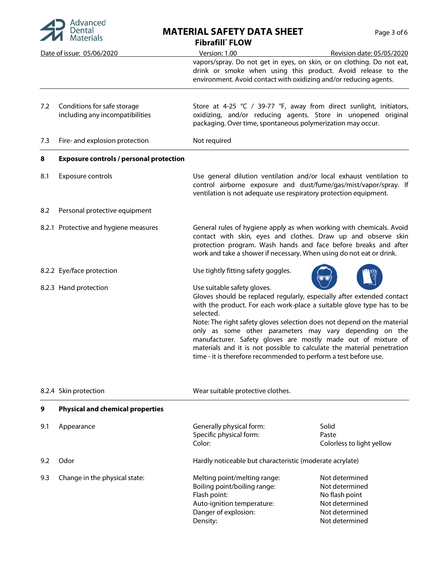

#### **MATERIAL SAFETY DATA SHEET** Page 3 of 6 **Fibrafill® FLOW**

|     |                                                                | FIDFATIII FLUW                                                                                                                                                                                                                                                                                                                                                                                                                                                                                                                                   |
|-----|----------------------------------------------------------------|--------------------------------------------------------------------------------------------------------------------------------------------------------------------------------------------------------------------------------------------------------------------------------------------------------------------------------------------------------------------------------------------------------------------------------------------------------------------------------------------------------------------------------------------------|
|     | Date of issue: 05/06/2020                                      | Version: 1.00<br>Revision date: 05/05/2020                                                                                                                                                                                                                                                                                                                                                                                                                                                                                                       |
|     |                                                                | vapors/spray. Do not get in eyes, on skin, or on clothing. Do not eat,<br>drink or smoke when using this product. Avoid release to the<br>environment. Avoid contact with oxidizing and/or reducing agents.                                                                                                                                                                                                                                                                                                                                      |
| 7.2 | Conditions for safe storage<br>including any incompatibilities | Store at 4-25 °C / 39-77 °F, away from direct sunlight, initiators,<br>oxidizing, and/or reducing agents. Store in unopened original<br>packaging. Over time, spontaneous polymerization may occur.                                                                                                                                                                                                                                                                                                                                              |
| 7.3 | Fire- and explosion protection                                 | Not required                                                                                                                                                                                                                                                                                                                                                                                                                                                                                                                                     |
| 8   | <b>Exposure controls / personal protection</b>                 |                                                                                                                                                                                                                                                                                                                                                                                                                                                                                                                                                  |
| 8.1 | Exposure controls                                              | Use general dilution ventilation and/or local exhaust ventilation to<br>control airborne exposure and dust/fume/gas/mist/vapor/spray. If<br>ventilation is not adequate use respiratory protection equipment.                                                                                                                                                                                                                                                                                                                                    |
| 8.2 | Personal protective equipment                                  |                                                                                                                                                                                                                                                                                                                                                                                                                                                                                                                                                  |
|     | 8.2.1 Protective and hygiene measures                          | General rules of hygiene apply as when working with chemicals. Avoid<br>contact with skin, eyes and clothes. Draw up and observe skin<br>protection program. Wash hands and face before breaks and after<br>work and take a shower if necessary. When using do not eat or drink.                                                                                                                                                                                                                                                                 |
|     | 8.2.2 Eye/face protection                                      | Use tightly fitting safety goggles.                                                                                                                                                                                                                                                                                                                                                                                                                                                                                                              |
|     | 8.2.3 Hand protection                                          | Use suitable safety gloves.<br>Gloves should be replaced regularly, especially after extended contact<br>with the product. For each work-place a suitable glove type has to be<br>selected.<br>Note: The right safety gloves selection does not depend on the material<br>only as some other parameters may vary depending on the<br>manufacturer. Safety gloves are mostly made out of mixture of<br>materials and it is not possible to calculate the material penetration<br>time - it is therefore recommended to perform a test before use. |

|     | 8.2.4 Skin protection                   | Wear suitable protective clothes.                                                                                                              |                                                                                                          |  |
|-----|-----------------------------------------|------------------------------------------------------------------------------------------------------------------------------------------------|----------------------------------------------------------------------------------------------------------|--|
| 9   | <b>Physical and chemical properties</b> |                                                                                                                                                |                                                                                                          |  |
| 9.1 | Appearance                              | Generally physical form:<br>Specific physical form:<br>Color:                                                                                  | Solid<br>Paste<br>Colorless to light yellow                                                              |  |
| 9.2 | Odor                                    | Hardly noticeable but characteristic (moderate acrylate)                                                                                       |                                                                                                          |  |
| 9.3 | Change in the physical state:           | Melting point/melting range:<br>Boiling point/boiling range:<br>Flash point:<br>Auto-ignition temperature:<br>Danger of explosion:<br>Density: | Not determined<br>Not determined<br>No flash point<br>Not determined<br>Not determined<br>Not determined |  |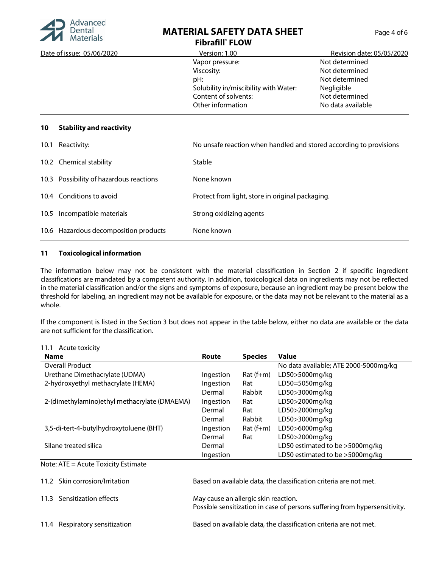

## **MATERIAL SAFETY DATA SHEET Fibrafill® FLOW**

| Page 4 of 6 |  |  |
|-------------|--|--|
|             |  |  |

| Date of issue: 05/06/2020             | Version: 1.00                                                      | Revision date: 05/05/2020 |
|---------------------------------------|--------------------------------------------------------------------|---------------------------|
|                                       | Vapor pressure:                                                    | Not determined            |
|                                       | Viscosity:                                                         | Not determined            |
|                                       | pH:                                                                | Not determined            |
|                                       | Solubility in/miscibility with Water:                              | Negligible                |
|                                       | Content of solvents:                                               | Not determined            |
|                                       | Other information                                                  | No data available         |
| <b>Stability and reactivity</b><br>10 |                                                                    |                           |
| $101$ Dooctivity                      | No uncafe reaction when bandled and stored according to provisions |                           |

| 10.1 Reactivity:                        | No unsafe reaction when handled and stored according to provisions |
|-----------------------------------------|--------------------------------------------------------------------|
| 10.2 Chemical stability                 | Stable                                                             |
| 10.3 Possibility of hazardous reactions | None known                                                         |
| 10.4 Conditions to avoid                | Protect from light, store in original packaging.                   |
| 10.5 Incompatible materials             | Strong oxidizing agents                                            |
| 10.6 Hazardous decomposition products   | None known                                                         |

#### **11 Toxicological information**

The information below may not be consistent with the material classification in Section 2 if specific ingredient classifications are mandated by a competent authority. In addition, toxicological data on ingredients may not be reflected in the material classification and/or the signs and symptoms of exposure, because an ingredient may be present below the threshold for labeling, an ingredient may not be available for exposure, or the data may not be relevant to the material as a whole.

If the component is listed in the Section 3 but does not appear in the table below, either no data are available or the data are not sufficient for the classification.

| 11.1 Acute toxicity |  |
|---------------------|--|
|                     |  |

| <b>Name</b>                                   | <b>Route</b>                                                                                                       | <b>Species</b> | <b>Value</b>                                                      |
|-----------------------------------------------|--------------------------------------------------------------------------------------------------------------------|----------------|-------------------------------------------------------------------|
| <b>Overall Product</b>                        |                                                                                                                    |                | No data available; ATE 2000-5000mg/kg                             |
| Urethane Dimethacrylate (UDMA)                | Ingestion                                                                                                          | $Rat(f+m)$     | LD50>5000mg/kg                                                    |
| 2-hydroxyethyl methacrylate (HEMA)            | Ingestion                                                                                                          | Rat            | LD50=5050mg/kg                                                    |
|                                               | Dermal                                                                                                             | Rabbit         | LD50>3000mg/kg                                                    |
| 2-(dimethylamino) ethyl methacrylate (DMAEMA) | Ingestion                                                                                                          | Rat            | LD50>2000mg/kg                                                    |
|                                               | Dermal                                                                                                             | Rat            | LD50>2000mg/kg                                                    |
|                                               | Dermal                                                                                                             | Rabbit         | LD50>3000mg/kg                                                    |
| 3,5-di-tert-4-butylhydroxytoluene (BHT)       | Ingestion                                                                                                          | $Rat(f+m)$     | LD50>6000mg/kg                                                    |
|                                               | Dermal                                                                                                             | Rat            | LD50>2000mg/kg                                                    |
| Silane treated silica                         | Dermal                                                                                                             |                | LD50 estimated to be >5000mg/kg                                   |
|                                               | Ingestion                                                                                                          |                | LD50 estimated to be >5000mg/kg                                   |
| Note: ATE = Acute Toxicity Estimate           |                                                                                                                    |                |                                                                   |
| 11.2 Skin corrosion/Irritation                |                                                                                                                    |                | Based on available data, the classification criteria are not met. |
| Sensitization effects<br>11.3                 | May cause an allergic skin reaction.<br>Possible sensitization in case of persons suffering from hypersensitivity. |                |                                                                   |
| 11.4 Respiratory sensitization                |                                                                                                                    |                | Based on available data, the classification criteria are not met. |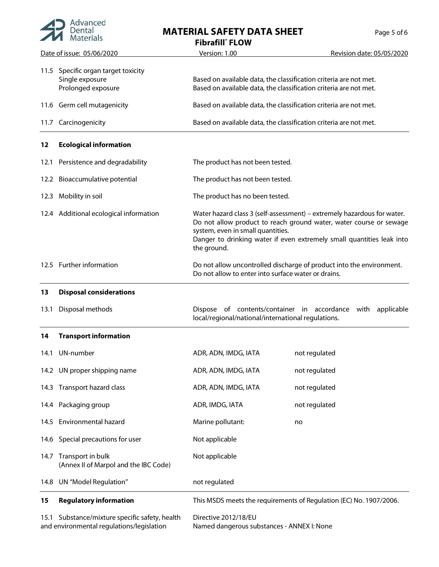

# **MATERIAL SAFETY DATA SHEET**

| Page 5 of 6 |  |  |
|-------------|--|--|
|             |  |  |

**Fibrafill® FLOW**

| Date of issue: 05/06/2020 |                                                                              | Version: 1.00                                                                                                                                                                                                                                                              | Revision date: 05/05/2020 |
|---------------------------|------------------------------------------------------------------------------|----------------------------------------------------------------------------------------------------------------------------------------------------------------------------------------------------------------------------------------------------------------------------|---------------------------|
|                           | 11.5 Specific organ target toxicity<br>Single exposure<br>Prolonged exposure | Based on available data, the classification criteria are not met.<br>Based on available data, the classification criteria are not met.                                                                                                                                     |                           |
|                           | 11.6 Germ cell mutagenicity                                                  | Based on available data, the classification criteria are not met.                                                                                                                                                                                                          |                           |
|                           | 11.7 Carcinogenicity                                                         | Based on available data, the classification criteria are not met.                                                                                                                                                                                                          |                           |
| 12                        | <b>Ecological information</b>                                                |                                                                                                                                                                                                                                                                            |                           |
| 12.1                      | Persistence and degradability                                                | The product has not been tested.                                                                                                                                                                                                                                           |                           |
|                           | 12.2 Bioaccumulative potential                                               | The product has not been tested.                                                                                                                                                                                                                                           |                           |
|                           | 12.3 Mobility in soil                                                        | The product has no been tested.                                                                                                                                                                                                                                            |                           |
|                           | 12.4 Additional ecological information                                       | Water hazard class 3 (self-assessment) - extremely hazardous for water.<br>Do not allow product to reach ground water, water course or sewage<br>system, even in small quantities.<br>Danger to drinking water if even extremely small quantities leak into<br>the ground. |                           |
|                           | 12.5 Further information                                                     | Do not allow uncontrolled discharge of product into the environment.<br>Do not allow to enter into surface water or drains.                                                                                                                                                |                           |
| 13                        | <b>Disposal considerations</b>                                               |                                                                                                                                                                                                                                                                            |                           |
| 13.1                      | Disposal methods                                                             | Dispose of contents/container in accordance with applicable<br>local/regional/national/international regulations.                                                                                                                                                          |                           |
| 14                        | <b>Transport information</b>                                                 |                                                                                                                                                                                                                                                                            |                           |
|                           | 14.1 UN-number                                                               | ADR, ADN, IMDG, IATA                                                                                                                                                                                                                                                       | not regulated             |
|                           | 14.2 UN proper shipping name                                                 | ADR, ADN, IMDG, IATA                                                                                                                                                                                                                                                       | not regulated             |
|                           | 14.3 Transport hazard class                                                  | ADR, ADN, IMDG, IATA                                                                                                                                                                                                                                                       | not regulated             |
|                           | 14.4 Packaging group                                                         | ADR, IMDG, IATA                                                                                                                                                                                                                                                            | not regulated             |
|                           | 14.5 Environmental hazard                                                    | Marine pollutant:                                                                                                                                                                                                                                                          | no                        |
| 14.6                      | Special precautions for user                                                 | Not applicable                                                                                                                                                                                                                                                             |                           |
|                           | 14.7 Transport in bulk<br>(Annex II of Marpol and the IBC Code)              | Not applicable                                                                                                                                                                                                                                                             |                           |
| 14.8                      | UN "Model Regulation"                                                        | not regulated                                                                                                                                                                                                                                                              |                           |
| 15                        | <b>Regulatory information</b>                                                | This MSDS meets the requirements of Regulation (EC) No. 1907/2006.                                                                                                                                                                                                         |                           |
|                           |                                                                              |                                                                                                                                                                                                                                                                            |                           |

15.1 Substance/mixture specific safety, health Directive 2012/18/EU

Named dangerous substances - ANNEX I: None